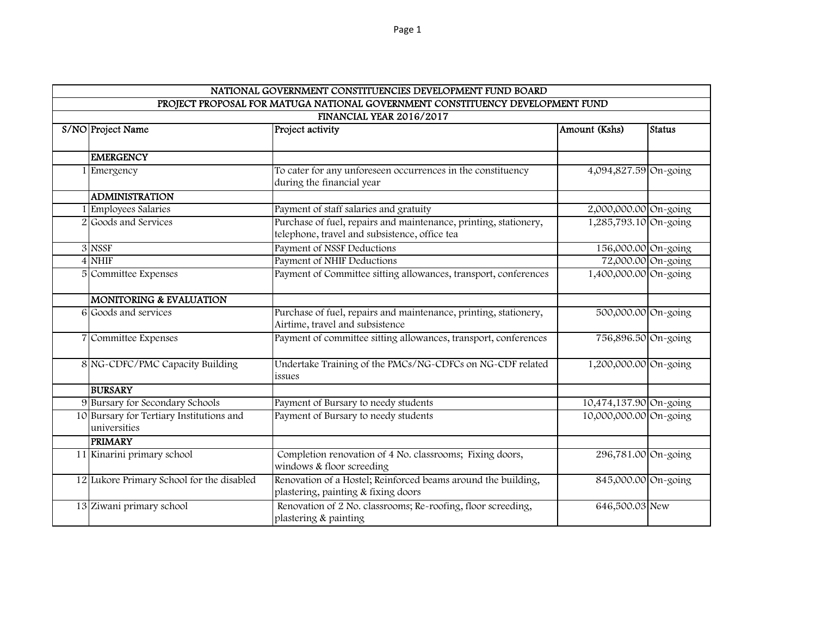| NATIONAL GOVERNMENT CONSTITUENCIES DEVELOPMENT FUND BOARD                     |                                                          |                                                                                                                   |                        |               |  |  |  |  |  |  |
|-------------------------------------------------------------------------------|----------------------------------------------------------|-------------------------------------------------------------------------------------------------------------------|------------------------|---------------|--|--|--|--|--|--|
| PROJECT PROPOSAL FOR MATUGA NATIONAL GOVERNMENT CONSTITUENCY DEVELOPMENT FUND |                                                          |                                                                                                                   |                        |               |  |  |  |  |  |  |
| FINANCIAL YEAR 2016/2017                                                      |                                                          |                                                                                                                   |                        |               |  |  |  |  |  |  |
|                                                                               | S/NO Project Name                                        | Project activity                                                                                                  | Amount (Kshs)          | <b>Status</b> |  |  |  |  |  |  |
|                                                                               |                                                          |                                                                                                                   |                        |               |  |  |  |  |  |  |
|                                                                               | <b>EMERGENCY</b>                                         |                                                                                                                   |                        |               |  |  |  |  |  |  |
|                                                                               | 1 Emergency                                              | To cater for any unforeseen occurrences in the constituency<br>during the financial year                          | 4,094,827.59 On-going  |               |  |  |  |  |  |  |
|                                                                               | <b>ADMINISTRATION</b>                                    |                                                                                                                   |                        |               |  |  |  |  |  |  |
|                                                                               | 1 Employees Salaries                                     | Payment of staff salaries and gratuity                                                                            | 2,000,000.00 On-going  |               |  |  |  |  |  |  |
|                                                                               | 2 Goods and Services                                     | Purchase of fuel, repairs and maintenance, printing, stationery,<br>telephone, travel and subsistence, office tea | 1,285,793.10 On-going  |               |  |  |  |  |  |  |
|                                                                               | 3 NSSF                                                   | Payment of NSSF Deductions                                                                                        | 156,000.00 On-going    |               |  |  |  |  |  |  |
|                                                                               | $4$ NHIF                                                 | Payment of NHIF Deductions                                                                                        | 72,000.00 On-going     |               |  |  |  |  |  |  |
|                                                                               | 5 Committee Expenses                                     | Payment of Committee sitting allowances, transport, conferences                                                   | 1,400,000.00 On-going  |               |  |  |  |  |  |  |
|                                                                               | <b>MONITORING &amp; EVALUATION</b>                       |                                                                                                                   |                        |               |  |  |  |  |  |  |
|                                                                               | 6 Goods and services                                     | Purchase of fuel, repairs and maintenance, printing, stationery,<br>Airtime, travel and subsistence               | 500,000.00 On-going    |               |  |  |  |  |  |  |
|                                                                               | 7 Committee Expenses                                     | Payment of committee sitting allowances, transport, conferences                                                   | 756,896.50 On-going    |               |  |  |  |  |  |  |
|                                                                               | 8 NG-CDFC/PMC Capacity Building                          | Undertake Training of the PMCs/NG-CDFCs on NG-CDF related<br>issues                                               | 1,200,000.00 On-going  |               |  |  |  |  |  |  |
|                                                                               | <b>BURSARY</b>                                           |                                                                                                                   |                        |               |  |  |  |  |  |  |
|                                                                               | 9 Bursary for Secondary Schools                          | Payment of Bursary to needy students                                                                              | 10,474,137.90 On-going |               |  |  |  |  |  |  |
|                                                                               | 10 Bursary for Tertiary Institutions and<br>universities | Payment of Bursary to needy students                                                                              | 10,000,000.00 On-going |               |  |  |  |  |  |  |
|                                                                               | <b>PRIMARY</b>                                           |                                                                                                                   |                        |               |  |  |  |  |  |  |
|                                                                               | 11 Kinarini primary school                               | Completion renovation of 4 No. classrooms; Fixing doors,<br>windows & floor screeding                             | 296,781.00 On-going    |               |  |  |  |  |  |  |
|                                                                               | 12 Lukore Primary School for the disabled                | Renovation of a Hostel; Reinforced beams around the building,<br>plastering, painting & fixing doors              | 845,000.00 On-going    |               |  |  |  |  |  |  |
|                                                                               | 13 Ziwani primary school                                 | Renovation of 2 No. classrooms; Re-roofing, floor screeding,<br>plastering & painting                             | 646,500.03 New         |               |  |  |  |  |  |  |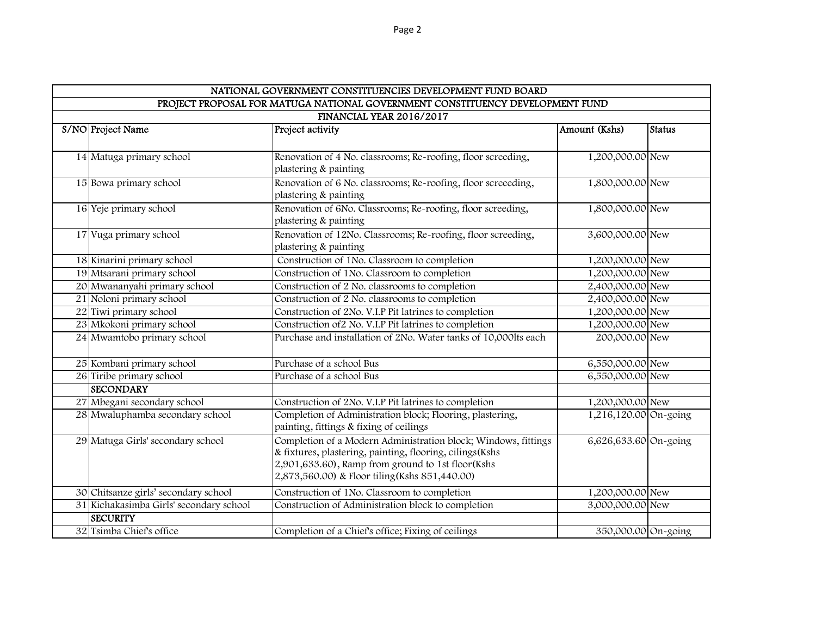| NATIONAL GOVERNMENT CONSTITUENCIES DEVELOPMENT FUND BOARD                     |                                         |                                                                                       |                       |               |  |  |  |  |  |
|-------------------------------------------------------------------------------|-----------------------------------------|---------------------------------------------------------------------------------------|-----------------------|---------------|--|--|--|--|--|
| PROJECT PROPOSAL FOR MATUGA NATIONAL GOVERNMENT CONSTITUENCY DEVELOPMENT FUND |                                         |                                                                                       |                       |               |  |  |  |  |  |
| FINANCIAL YEAR 2016/2017                                                      |                                         |                                                                                       |                       |               |  |  |  |  |  |
|                                                                               | S/NO Project Name                       | Project activity                                                                      | Amount (Kshs)         | <b>Status</b> |  |  |  |  |  |
|                                                                               |                                         |                                                                                       |                       |               |  |  |  |  |  |
|                                                                               | 14 Matuga primary school                | Renovation of 4 No. classrooms; Re-roofing, floor screeding,                          | 1,200,000.00 New      |               |  |  |  |  |  |
|                                                                               |                                         | plastering & painting                                                                 |                       |               |  |  |  |  |  |
|                                                                               | 15 Bowa primary school                  | Renovation of 6 No. classrooms; Re-roofing, floor screeeding,                         | 1,800,000.00 New      |               |  |  |  |  |  |
|                                                                               |                                         | plastering & painting                                                                 |                       |               |  |  |  |  |  |
|                                                                               | 16 Yeje primary school                  | Renovation of 6No. Classrooms; Re-roofing, floor screeding,                           | 1,800,000.00 New      |               |  |  |  |  |  |
|                                                                               |                                         | plastering & painting                                                                 |                       |               |  |  |  |  |  |
|                                                                               | 17 Vuga primary school                  | Renovation of 12No. Classrooms; Re-roofing, floor screeding,<br>plastering & painting | 3,600,000.00 New      |               |  |  |  |  |  |
|                                                                               | 18 Kinarini primary school              | Construction of 1No. Classroom to completion                                          | 1,200,000.00 New      |               |  |  |  |  |  |
|                                                                               | 19 Mtsarani primary school              | Construction of 1No. Classroom to completion                                          | 1,200,000.00 New      |               |  |  |  |  |  |
|                                                                               | 20 Mwananyahi primary school            | Construction of 2 No. classrooms to completion                                        | 2,400,000.00 New      |               |  |  |  |  |  |
|                                                                               | 21 Noloni primary school                | Construction of 2 No. classrooms to completion                                        | 2,400,000.00 New      |               |  |  |  |  |  |
|                                                                               | 22 Tiwi primary school                  | Construction of 2No. V.I.P Pit latrines to completion                                 | 1,200,000.00 New      |               |  |  |  |  |  |
|                                                                               | 23 Mkokoni primary school               | Construction of 2 No. V.I.P Pit latrines to completion                                | 1,200,000.00 New      |               |  |  |  |  |  |
|                                                                               | 24 Mwamtobo primary school              | Purchase and installation of 2No. Water tanks of 10,000lts each                       | 200,000.00 New        |               |  |  |  |  |  |
|                                                                               | 25 Kombani primary school               | Purchase of a school Bus                                                              | 6,550,000.00 New      |               |  |  |  |  |  |
|                                                                               | 26 Tiribe primary school                | Purchase of a school Bus                                                              | 6,550,000.00 New      |               |  |  |  |  |  |
|                                                                               | <b>SECONDARY</b>                        |                                                                                       |                       |               |  |  |  |  |  |
|                                                                               | 27 Mbegani secondary school             | Construction of 2No. V.I.P Pit latrines to completion                                 | 1,200,000.00 New      |               |  |  |  |  |  |
|                                                                               | 28 Mwaluphamba secondary school         | Completion of Administration block; Flooring, plastering,                             | 1,216,120.00 On-going |               |  |  |  |  |  |
|                                                                               |                                         | painting, fittings & fixing of ceilings                                               |                       |               |  |  |  |  |  |
|                                                                               | 29 Matuga Girls' secondary school       | Completion of a Modern Administration block; Windows, fittings                        | 6,626,633.60 On-going |               |  |  |  |  |  |
|                                                                               |                                         | & fixtures, plastering, painting, flooring, cilings (Kshs                             |                       |               |  |  |  |  |  |
|                                                                               |                                         | 2,901,633.60), Ramp from ground to 1st floor(Kshs                                     |                       |               |  |  |  |  |  |
|                                                                               |                                         | 2,873,560.00) & Floor tiling (Kshs 851,440.00)                                        |                       |               |  |  |  |  |  |
|                                                                               | 30 Chitsanze girls' secondary school    | Construction of 1No. Classroom to completion                                          | 1,200,000.00 New      |               |  |  |  |  |  |
|                                                                               | 31 Kichakasimba Girls' secondary school | Construction of Administration block to completion                                    | 3,000,000.00 New      |               |  |  |  |  |  |
|                                                                               | <b>SECURITY</b>                         |                                                                                       |                       |               |  |  |  |  |  |
|                                                                               | 32 Tsimba Chief's office                | Completion of a Chief's office; Fixing of ceilings                                    | 350,000.00 On-going   |               |  |  |  |  |  |